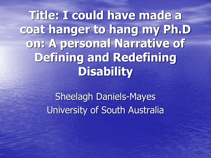**Title: I could have made a coat hanger to hang my Ph.D on: A personal Narrative of Defining and Redefining Disability**

> Sheelagh Daniels-Mayes University of South Australia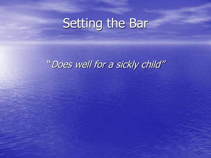### Setting the Bar

#### "Does well for a sickly child"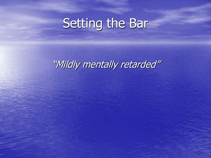### Setting the Bar

"Mildly mentally retarded"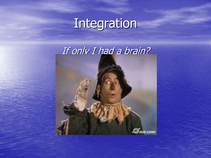## Integration

#### If only I had a brain?

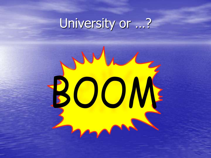# University or ...?

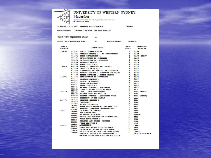| l |  |
|---|--|

**Service Control** 

wia

#### UNIVERSITY OF WESTERN SYDNEY

#### Macarthur

ALL CORRESPONDENCE: P.O. BOX 555, CAMPBELLTOWN N.S.W. 2560<br>TELEPHONE: (846) 20 3180

| ACADEMIC RECORD OF: SHEELAGH HAREE DANIELS |  |                                    | 852495 |
|--------------------------------------------|--|------------------------------------|--------|
| <b>COURSE AWARD:</b>                       |  | BACHELOR OF ARTS (WELFARE STUDIES) |        |

**CREDIT POINTS REQUIRED FOR AWARD:**  $111\,$ 

| <b>CREDIT POINTS ATTAINED TO DATE:</b> | 111 | <b>CURRENT STATUS:</b> | <b>GRADUATE</b> |
|----------------------------------------|-----|------------------------|-----------------|

| <b>SEMESTER</b> |  | XARASTER COURSE UNIT(S) CARDITICS CONSENTITION CONSENSITER COURSE UNIT(S)<br>1985/1 B1043L SOCTAL COMMUNICATION 3 PASS<br>C1106L WELFARE STUDIES 1 - AN INTRODUCTION 3 PASS                                                                                                                                                                                                                                          | ASSESSMENT<br><b>RESULT(S)</b> |                         |
|-----------------|--|----------------------------------------------------------------------------------------------------------------------------------------------------------------------------------------------------------------------------------------------------------------------------------------------------------------------------------------------------------------------------------------------------------------------|--------------------------------|-------------------------|
|                 |  |                                                                                                                                                                                                                                                                                                                                                                                                                      |                                |                         |
|                 |  |                                                                                                                                                                                                                                                                                                                                                                                                                      |                                |                         |
|                 |  |                                                                                                                                                                                                                                                                                                                                                                                                                      |                                | 2 PASS (MERIT)          |
|                 |  |                                                                                                                                                                                                                                                                                                                                                                                                                      |                                |                         |
|                 |  | CHINE INTRODUCTION TO SOCIOLOGY AND THE CHINE INTRODUCTION TO SOCIOLOGY AND CHINE CHINE CHINE CALL ON THE CHINE CASS CALL CASS CALL CAN THE CHINE CASS CALL THE CHINE CHINE CHINE CHINE CHINE CHINE CHINE CHINE CHINE CHINE CH                                                                                                                                                                                       |                                |                         |
|                 |  |                                                                                                                                                                                                                                                                                                                                                                                                                      |                                |                         |
|                 |  |                                                                                                                                                                                                                                                                                                                                                                                                                      |                                |                         |
|                 |  |                                                                                                                                                                                                                                                                                                                                                                                                                      |                                |                         |
|                 |  |                                                                                                                                                                                                                                                                                                                                                                                                                      |                                |                         |
|                 |  |                                                                                                                                                                                                                                                                                                                                                                                                                      |                                |                         |
|                 |  |                                                                                                                                                                                                                                                                                                                                                                                                                      |                                |                         |
|                 |  |                                                                                                                                                                                                                                                                                                                                                                                                                      |                                |                         |
| 1986/1          |  |                                                                                                                                                                                                                                                                                                                                                                                                                      |                                |                         |
|                 |  |                                                                                                                                                                                                                                                                                                                                                                                                                      |                                |                         |
|                 |  |                                                                                                                                                                                                                                                                                                                                                                                                                      |                                |                         |
|                 |  |                                                                                                                                                                                                                                                                                                                                                                                                                      |                                |                         |
|                 |  |                                                                                                                                                                                                                                                                                                                                                                                                                      |                                |                         |
|                 |  |                                                                                                                                                                                                                                                                                                                                                                                                                      |                                |                         |
|                 |  |                                                                                                                                                                                                                                                                                                                                                                                                                      |                                |                         |
| 1986/2          |  |                                                                                                                                                                                                                                                                                                                                                                                                                      |                                | PASS (MERIT)            |
|                 |  |                                                                                                                                                                                                                                                                                                                                                                                                                      |                                |                         |
|                 |  |                                                                                                                                                                                                                                                                                                                                                                                                                      |                                | PASS (MERIT)            |
|                 |  |                                                                                                                                                                                                                                                                                                                                                                                                                      |                                |                         |
|                 |  | 1987/2 C2121L RESEARCH METHODS 2                                                                                                                                                                                                                                                                                                                                                                                     |                                |                         |
|                 |  |                                                                                                                                                                                                                                                                                                                                                                                                                      |                                |                         |
|                 |  |                                                                                                                                                                                                                                                                                                                                                                                                                      |                                |                         |
|                 |  |                                                                                                                                                                                                                                                                                                                                                                                                                      |                                |                         |
|                 |  |                                                                                                                                                                                                                                                                                                                                                                                                                      |                                |                         |
| 1988/1          |  |                                                                                                                                                                                                                                                                                                                                                                                                                      |                                |                         |
|                 |  |                                                                                                                                                                                                                                                                                                                                                                                                                      |                                |                         |
|                 |  |                                                                                                                                                                                                                                                                                                                                                                                                                      |                                |                         |
|                 |  |                                                                                                                                                                                                                                                                                                                                                                                                                      |                                |                         |
|                 |  |                                                                                                                                                                                                                                                                                                                                                                                                                      |                                |                         |
|                 |  |                                                                                                                                                                                                                                                                                                                                                                                                                      |                                |                         |
|                 |  |                                                                                                                                                                                                                                                                                                                                                                                                                      |                                |                         |
| 1988/2          |  |                                                                                                                                                                                                                                                                                                                                                                                                                      |                                |                         |
|                 |  |                                                                                                                                                                                                                                                                                                                                                                                                                      |                                |                         |
|                 |  |                                                                                                                                                                                                                                                                                                                                                                                                                      |                                |                         |
|                 |  |                                                                                                                                                                                                                                                                                                                                                                                                                      |                                |                         |
|                 |  |                                                                                                                                                                                                                                                                                                                                                                                                                      |                                | <b>HIGH DISTINCTION</b> |
|                 |  | $\begin{tabular}{cccc} \textbf{23051} & \textbf{FIGL D PRCATE} & 4 & \textbf{PASS} \\ \textbf{243561} & \textbf{FIGL D PRCATE} & 1 & \textbf{PASS} \\ \textbf{251561} & \textbf{HIPREIALISM} & \textbf{N SGL} \\ \textbf{211641} & \textbf{GUPERINLISM} & \textbf{N SGL} \\ \textbf{211641} & \textbf{GUPERINLISM} & \textbf{N SGL} \\ \textbf{211651} & \textbf{WELTARKB} & \textbf{STUDIS} & 2 & (\textbf{ASBMOSK$ |                                |                         |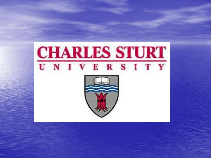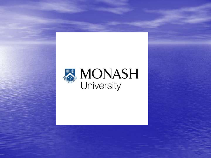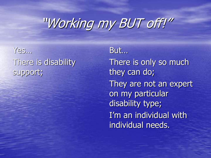Yes… There is disability support;

But… There is only so much they can do; They are not an expert on my particular disability type; I'm an individual with individual needs.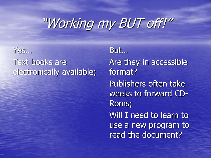Yes… Text books are electronically available;

But… Are they in accessible format? Publishers often take weeks to forward CD-Roms; Will I need to learn to use a new program to read the document?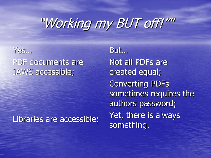#### Yes… PDF documents are JAWS accessible;

#### Libraries are accessible;

But… Not all PDFs are created equal; Converting PDFs sometimes requires the authors password; Yet, there is always something.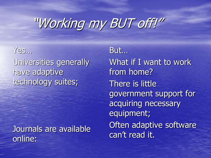Yes… Universities generally have adaptive technology suites;

Journals are available online:

But… What if I want to work from home? There is little government support for acquiring necessary equipment; Often adaptive software can't read it.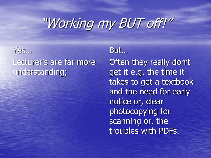#### Yes… Lecturer's are far more understanding;

#### But…

Often they really don't get it e.g. the time it takes to get a textbook and the need for early notice or, clear photocopying for scanning or, the troubles with PDFs.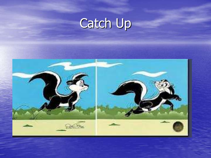# Catch Up